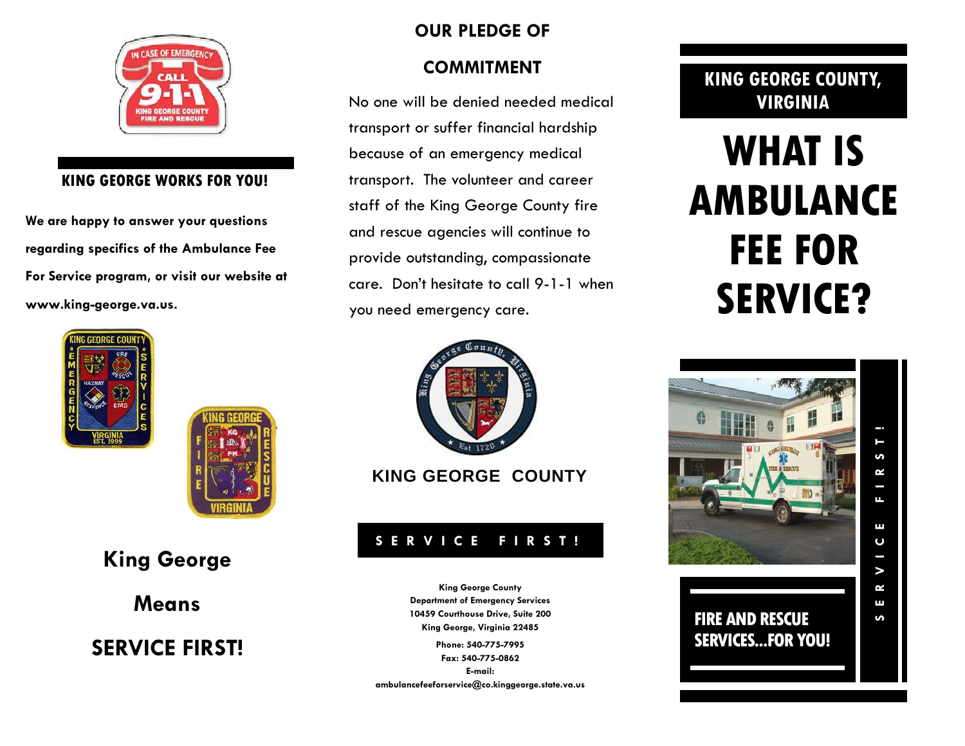

#### **KING GEORGE WORKS FOR YOU!**

**We are happy to answer your questions regarding specifics of the Ambulance Fee For Service program, or visit our website at www.king-george.va.us.** 





# **King George**

**Means** 

**SERVICE FIRST!** 

## **OUR PLEDGE OF**

### **COMMITMENT**

No one will be denied needed medical transport or suffer financial hardship because of an emergency medical transport. The volunteer and career staff of the King George County fire and rescue agencies will continue to provide outstanding, compassionate care. Don't hesitate to call 9-1-1 when you need emergency care.



**KING GEORGE COUNTY** 

## **SERVICE FIRST!**

**King George County Department of Emergency Services 10459 Courthouse Drive, Suite 200 King George, Virginia 22485 Phone: 540-775-7995** 

**Fax: 540-775-0862 E-mail: ambulancefeeforservice@co.kinggeorge.state.va.us** 

# **KING GEORGE COUNTY, VIRGINIA**

# **WHAT IS AMBULANCE FEE FOR SERVICE?**